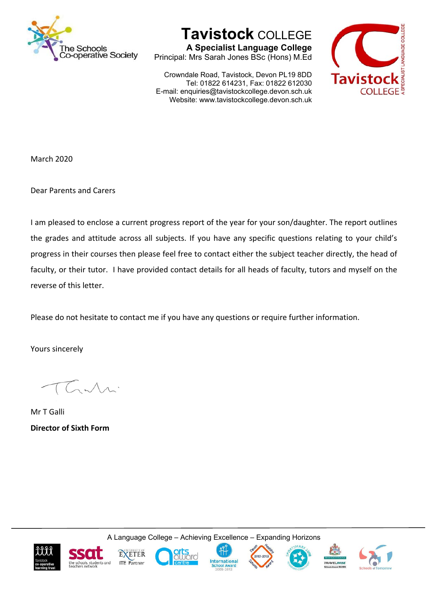

**Tavistock** COLLEGE

**A Specialist Language College** Principal: Mrs Sarah Jones BSc (Hons) M.Ed

Crowndale Road, Tavistock, Devon PL19 8DD Tel: 01822 614231, Fax: 01822 612030 E-mail: enquiries@tavistockcollege.devon.sch.uk Website: www.tavistockcollege.devon.sch.uk



March 2020

Dear Parents and Carers

I am pleased to enclose a current progress report of the year for your son/daughter. The report outlines the grades and attitude across all subjects. If you have any specific questions relating to your child's progress in their courses then please feel free to contact either the subject teacher directly, the head of faculty, or their tutor. I have provided contact details for all heads of faculty, tutors and myself on the reverse of this letter.

Please do not hesitate to contact me if you have any questions or require further information.

Yours sincerely

Mr T Galli **Director of Sixth Form** 

A Language College – Achieving Excellence – Expanding Horizons













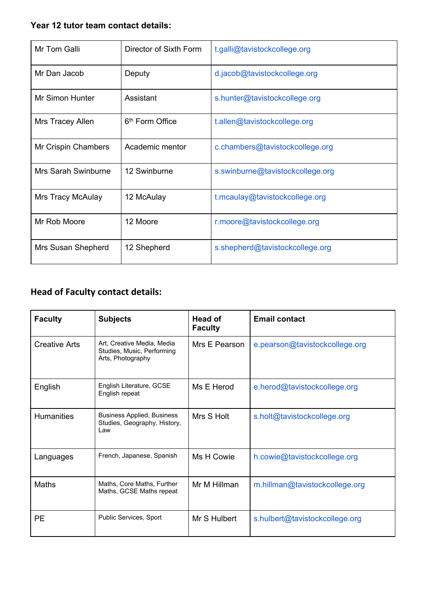## **Year 12 tutor team contact details:**

| Mr Tom Galli             | Director of Sixth Form      | t.galli@tavistockcollege.org     |  |
|--------------------------|-----------------------------|----------------------------------|--|
| Mr Dan Jacob             | Deputy                      | d.jacob@tavistockcollege.org     |  |
| <b>Mr Simon Hunter</b>   | Assistant                   | s.hunter@tavistockcollege.org    |  |
| Mrs Tracey Allen         | 6 <sup>th</sup> Form Office | t.allen@tavistockcollege.org     |  |
| Mr Crispin Chambers      | Academic mentor             | c.chambers@tavistockcollege.org  |  |
| Mrs Sarah Swinburne      | 12 Swinburne                | s.swinburne@tavistockcollege.org |  |
| <b>Mrs Tracy McAulay</b> | 12 McAulay                  | t.mcaulay@tavistockcollege.org   |  |
| Mr Rob Moore             | 12 Moore                    | r.moore@tavistockcollege.org     |  |
| Mrs Susan Shepherd       | 12 Shepherd                 | s.shepherd@tavistockcollege.org  |  |

## **Head of Faculty contact details:**

| <b>Faculty</b>       | <b>Subjects</b>                                                               | Head of<br><b>Faculty</b> | <b>Email contact</b>           |
|----------------------|-------------------------------------------------------------------------------|---------------------------|--------------------------------|
| <b>Creative Arts</b> | Art, Creative Media, Media<br>Studies, Music, Performing<br>Arts, Photography | Mrs E Pearson             | e.pearson@tavistockcollege.org |
| English              | English Literature, GCSE<br>English repeat                                    | Ms E Herod                | e.herod@tavistockcollege.org   |
| <b>Humanities</b>    | <b>Business Applied, Business</b><br>Studies, Geography, History,<br>Law      | Mrs S Holt                | s.holt@tavistockcollege.org    |
| Languages            | French, Japanese, Spanish                                                     | Ms H Cowie                | h.cowie@tavistockcollege.org   |
| Maths                | Maths, Core Maths, Further<br>Maths, GCSE Maths repeat                        | Mr M Hillman              | m.hillman@tavistockcollege.org |
| <b>PE</b>            | Public Services, Sport                                                        | Mr S Hulbert              | s.hulbert@tavistockcollege.org |